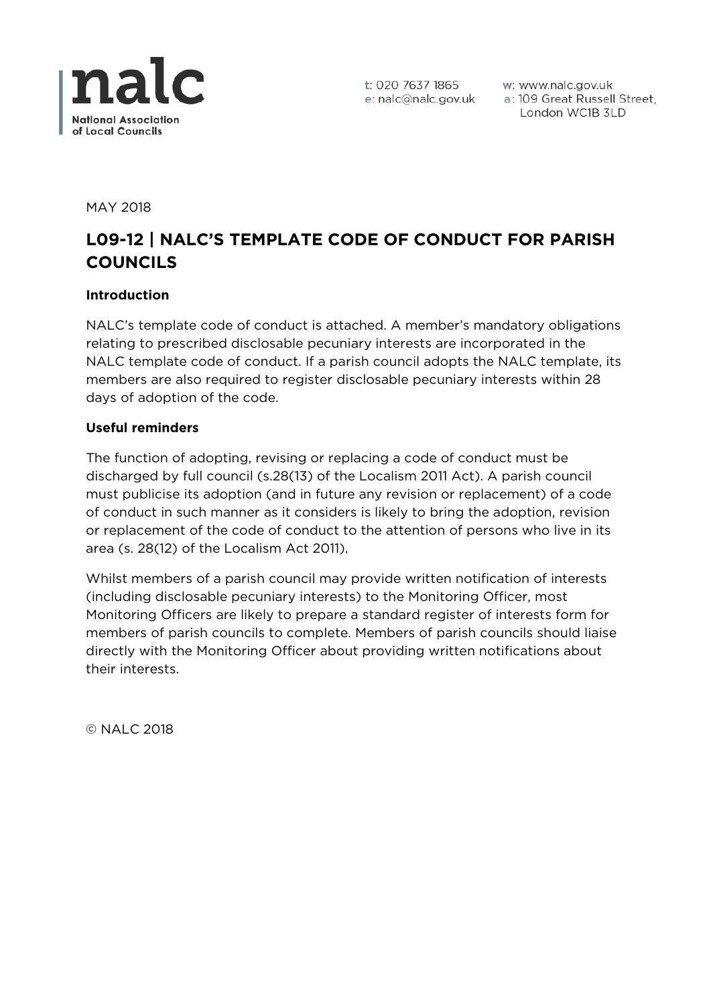

w: www.nalc.gov.uk a: 109 Great Russell Street, London WC1B 3LD

MAY 2018

# **L09-12 | NALC'S TEMPLATE CODE OF CONDUCT FOR PARISH COUNCILS**

#### **Introduction**

NALC's template code of conduct is attached. A member's mandatory obligations relating to prescribed disclosable pecuniary interests are incorporated in the NALC template code of conduct. If a parish council adopts the NALC template, its members are also required to register disclosable pecuniary interests within 28 days of adoption of the code.

#### **Useful reminders**

The function of adopting, revising or replacing a code of conduct must be discharged by full council (s.28(13) of the Localism 2011 Act). A parish council must publicise its adoption (and in future any revision or replacement) of a code of conduct in such manner as it considers is likely to bring the adoption, revision or replacement of the code of conduct to the attention of persons who live in its area (s. 28(12) of the Localism Act 2011).

Whilst members of a parish council may provide written notification of interests (including disclosable pecuniary interests) to the Monitoring Officer, most Monitoring Officers are likely to prepare a standard register of interests form for members of parish councils to complete. Members of parish councils should liaise directly with the Monitoring Officer about providing written notifications about their interests.

© NALC 2018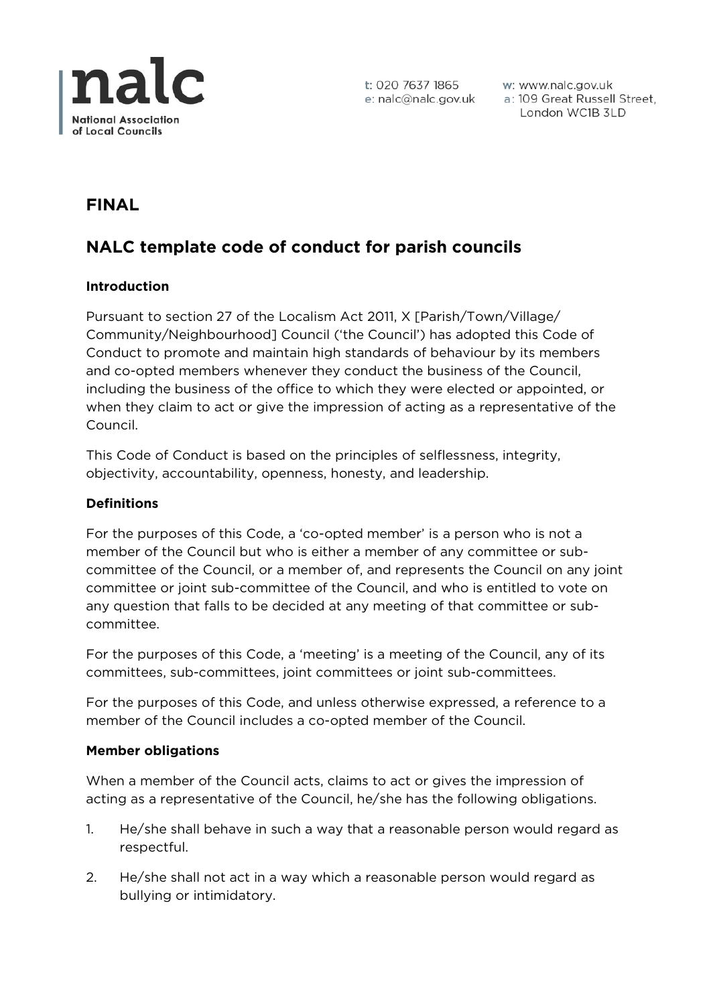

w: www.nalc.gov.uk a: 109 Great Russell Street, London WC1B 3LD

# **FINAL**

# **NALC template code of conduct for parish councils**

# **Introduction**

Pursuant to section 27 of the Localism Act 2011, X [Parish/Town/Village/ Community/Neighbourhood] Council ('the Council') has adopted this Code of Conduct to promote and maintain high standards of behaviour by its members and co-opted members whenever they conduct the business of the Council, including the business of the office to which they were elected or appointed, or when they claim to act or give the impression of acting as a representative of the Council.

This Code of Conduct is based on the principles of selflessness, integrity, objectivity, accountability, openness, honesty, and leadership.

#### **Definitions**

For the purposes of this Code, a 'co-opted member' is a person who is not a member of the Council but who is either a member of any committee or subcommittee of the Council, or a member of, and represents the Council on any joint committee or joint sub-committee of the Council, and who is entitled to vote on any question that falls to be decided at any meeting of that committee or subcommittee.

For the purposes of this Code, a 'meeting' is a meeting of the Council, any of its committees, sub-committees, joint committees or joint sub-committees.

For the purposes of this Code, and unless otherwise expressed, a reference to a member of the Council includes a co-opted member of the Council.

#### **Member obligations**

When a member of the Council acts, claims to act or gives the impression of acting as a representative of the Council, he/she has the following obligations.

- 1. He/she shall behave in such a way that a reasonable person would regard as respectful.
- 2. He/she shall not act in a way which a reasonable person would regard as bullying or intimidatory.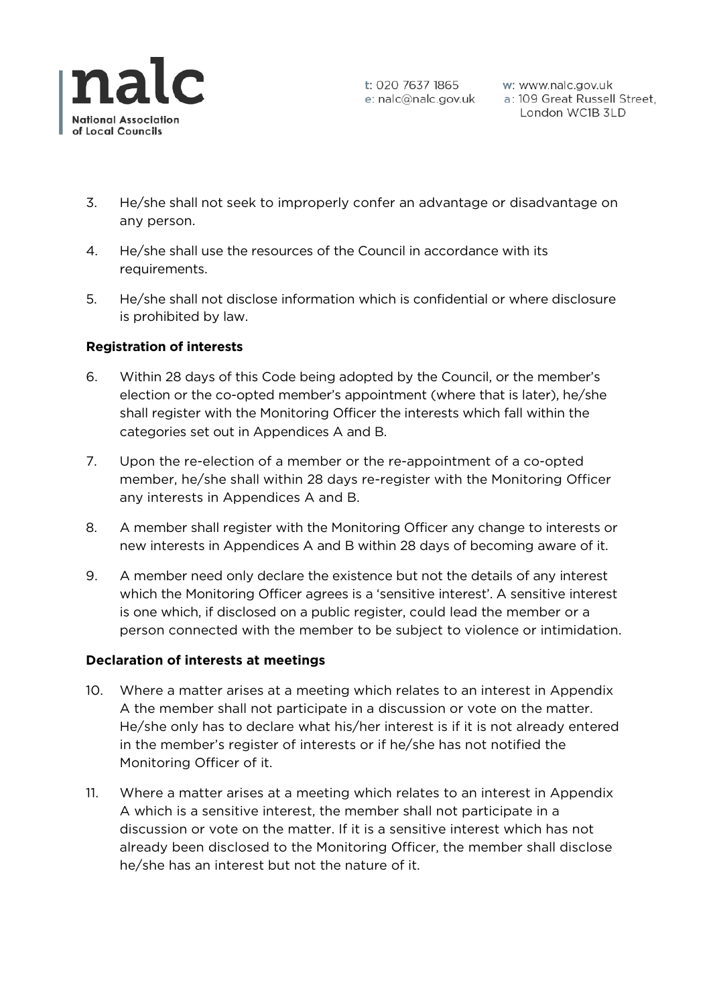

- 3. He/she shall not seek to improperly confer an advantage or disadvantage on any person.
- 4. He/she shall use the resources of the Council in accordance with its requirements.
- 5. He/she shall not disclose information which is confidential or where disclosure is prohibited by law.

# **Registration of interests**

- 6. Within 28 days of this Code being adopted by the Council, or the member's election or the co-opted member's appointment (where that is later), he/she shall register with the Monitoring Officer the interests which fall within the categories set out in Appendices A and B.
- 7. Upon the re-election of a member or the re-appointment of a co-opted member, he/she shall within 28 days re-register with the Monitoring Officer any interests in Appendices A and B.
- 8. A member shall register with the Monitoring Officer any change to interests or new interests in Appendices A and B within 28 days of becoming aware of it.
- 9. A member need only declare the existence but not the details of any interest which the Monitoring Officer agrees is a 'sensitive interest'. A sensitive interest is one which, if disclosed on a public register, could lead the member or a person connected with the member to be subject to violence or intimidation.

#### **Declaration of interests at meetings**

- 10. Where a matter arises at a meeting which relates to an interest in Appendix A the member shall not participate in a discussion or vote on the matter. He/she only has to declare what his/her interest is if it is not already entered in the member's register of interests or if he/she has not notified the Monitoring Officer of it.
- 11. Where a matter arises at a meeting which relates to an interest in Appendix A which is a sensitive interest, the member shall not participate in a discussion or vote on the matter. If it is a sensitive interest which has not already been disclosed to the Monitoring Officer, the member shall disclose he/she has an interest but not the nature of it.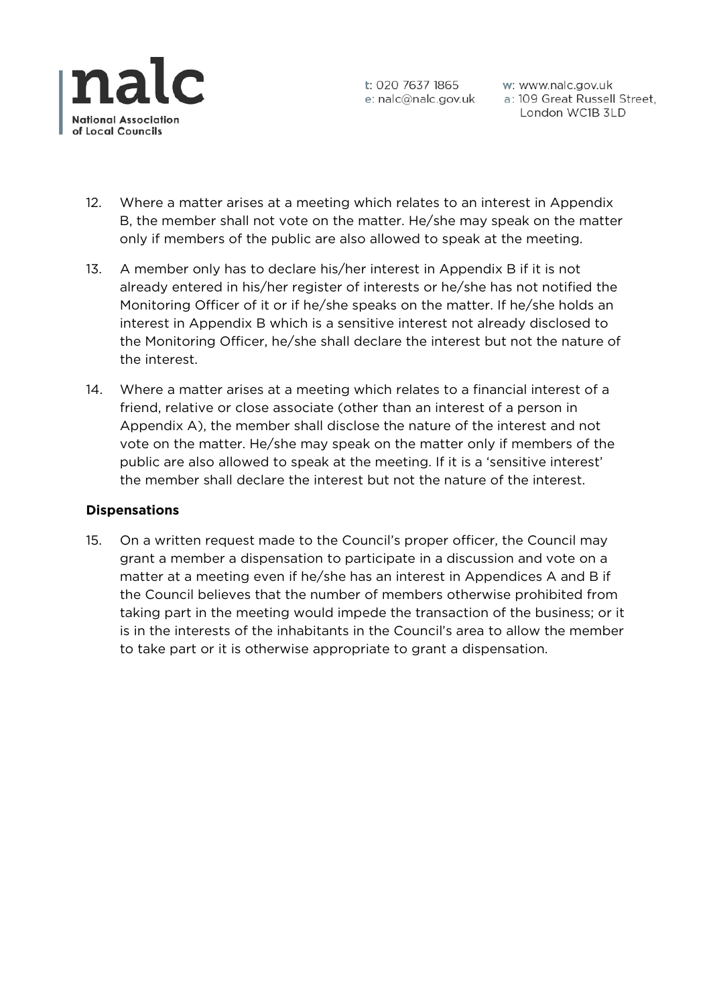

w: www.nalc.gov.uk a: 109 Great Russell Street, London WC1B 3LD

- 12. Where a matter arises at a meeting which relates to an interest in Appendix B, the member shall not vote on the matter. He/she may speak on the matter only if members of the public are also allowed to speak at the meeting.
- 13. A member only has to declare his/her interest in Appendix B if it is not already entered in his/her register of interests or he/she has not notified the Monitoring Officer of it or if he/she speaks on the matter. If he/she holds an interest in Appendix B which is a sensitive interest not already disclosed to the Monitoring Officer, he/she shall declare the interest but not the nature of the interest.
- 14. Where a matter arises at a meeting which relates to a financial interest of a friend, relative or close associate (other than an interest of a person in Appendix A), the member shall disclose the nature of the interest and not vote on the matter. He/she may speak on the matter only if members of the public are also allowed to speak at the meeting. If it is a 'sensitive interest' the member shall declare the interest but not the nature of the interest.

#### **Dispensations**

15. On a written request made to the Council's proper officer, the Council may grant a member a dispensation to participate in a discussion and vote on a matter at a meeting even if he/she has an interest in Appendices A and B if the Council believes that the number of members otherwise prohibited from taking part in the meeting would impede the transaction of the business; or it is in the interests of the inhabitants in the Council's area to allow the member to take part or it is otherwise appropriate to grant a dispensation.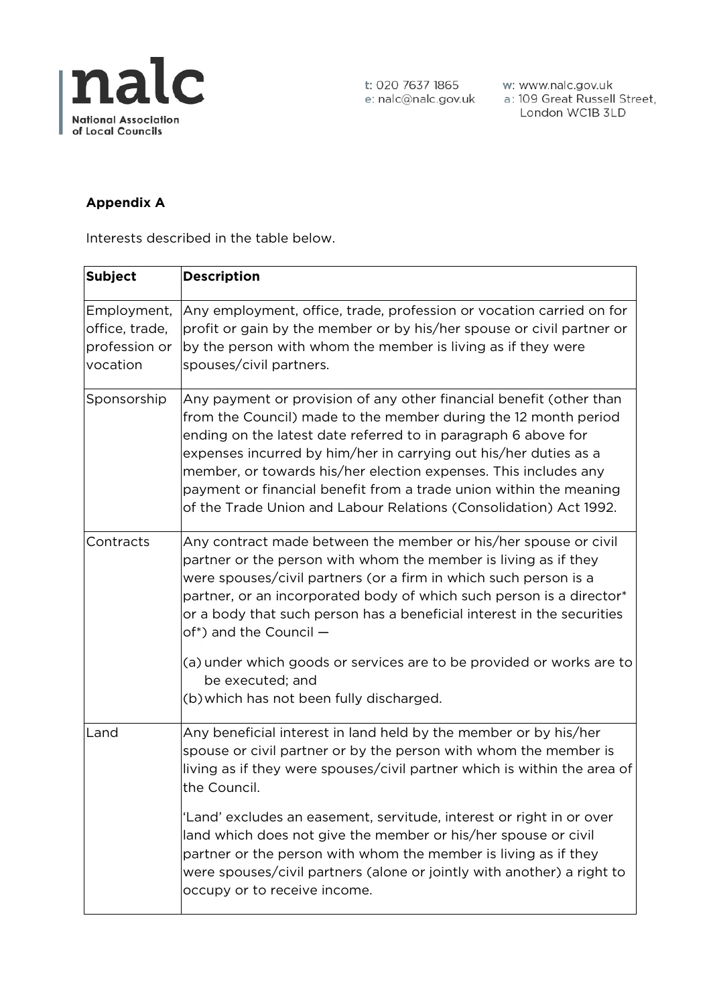

w: www.nalc.gov.uk a: 109 Great Russell Street, London WC1B 3LD

# **Appendix A**

Interests described in the table below.

| <b>Subject</b>                                             | <b>Description</b>                                                                                                                                                                                                                                                                                                                                                                                                                                                                         |
|------------------------------------------------------------|--------------------------------------------------------------------------------------------------------------------------------------------------------------------------------------------------------------------------------------------------------------------------------------------------------------------------------------------------------------------------------------------------------------------------------------------------------------------------------------------|
| Employment,<br>office, trade,<br>profession or<br>vocation | Any employment, office, trade, profession or vocation carried on for<br>profit or gain by the member or by his/her spouse or civil partner or<br>by the person with whom the member is living as if they were<br>spouses/civil partners.                                                                                                                                                                                                                                                   |
| Sponsorship                                                | Any payment or provision of any other financial benefit (other than<br>from the Council) made to the member during the 12 month period<br>ending on the latest date referred to in paragraph 6 above for<br>expenses incurred by him/her in carrying out his/her duties as a<br>member, or towards his/her election expenses. This includes any<br>payment or financial benefit from a trade union within the meaning<br>of the Trade Union and Labour Relations (Consolidation) Act 1992. |
| Contracts                                                  | Any contract made between the member or his/her spouse or civil<br>partner or the person with whom the member is living as if they<br>were spouses/civil partners (or a firm in which such person is a<br>partner, or an incorporated body of which such person is a director*<br>or a body that such person has a beneficial interest in the securities<br>of*) and the Council -                                                                                                         |
|                                                            | (a) under which goods or services are to be provided or works are to<br>be executed; and<br>(b) which has not been fully discharged.                                                                                                                                                                                                                                                                                                                                                       |
| Land                                                       | Any beneficial interest in land held by the member or by his/her<br>spouse or civil partner or by the person with whom the member is<br>living as if they were spouses/civil partner which is within the area of<br>the Council.                                                                                                                                                                                                                                                           |
|                                                            | 'Land' excludes an easement, servitude, interest or right in or over<br>land which does not give the member or his/her spouse or civil<br>partner or the person with whom the member is living as if they<br>were spouses/civil partners (alone or jointly with another) a right to<br>occupy or to receive income.                                                                                                                                                                        |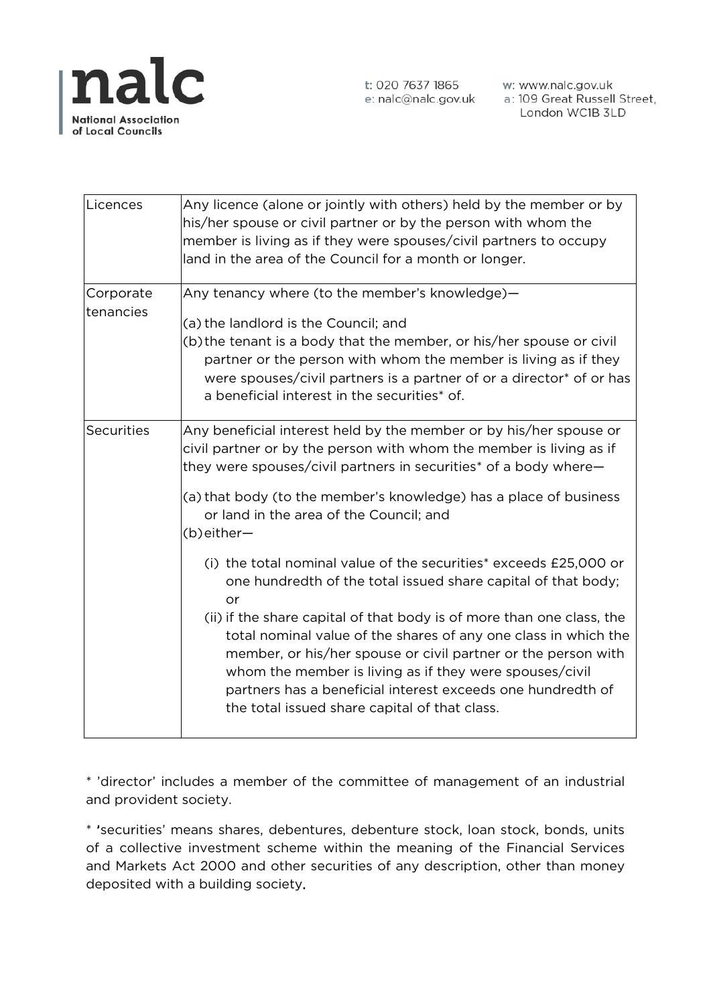

| Licences               | Any licence (alone or jointly with others) held by the member or by<br>his/her spouse or civil partner or by the person with whom the<br>member is living as if they were spouses/civil partners to occupy<br>land in the area of the Council for a month or longer.                                                                                                                                                                                                                                                                                                                                                                                                                                                                                                                                                                                                            |
|------------------------|---------------------------------------------------------------------------------------------------------------------------------------------------------------------------------------------------------------------------------------------------------------------------------------------------------------------------------------------------------------------------------------------------------------------------------------------------------------------------------------------------------------------------------------------------------------------------------------------------------------------------------------------------------------------------------------------------------------------------------------------------------------------------------------------------------------------------------------------------------------------------------|
| Corporate<br>tenancies | Any tenancy where (to the member's knowledge)-<br>(a) the landlord is the Council; and<br>(b) the tenant is a body that the member, or his/her spouse or civil<br>partner or the person with whom the member is living as if they<br>were spouses/civil partners is a partner of or a director* of or has<br>a beneficial interest in the securities* of.                                                                                                                                                                                                                                                                                                                                                                                                                                                                                                                       |
| <b>Securities</b>      | Any beneficial interest held by the member or by his/her spouse or<br>civil partner or by the person with whom the member is living as if<br>they were spouses/civil partners in securities* of a body where-<br>(a) that body (to the member's knowledge) has a place of business<br>or land in the area of the Council; and<br>(b)either-<br>(i) the total nominal value of the securities* exceeds £25,000 or<br>one hundredth of the total issued share capital of that body;<br>or<br>(ii) if the share capital of that body is of more than one class, the<br>total nominal value of the shares of any one class in which the<br>member, or his/her spouse or civil partner or the person with<br>whom the member is living as if they were spouses/civil<br>partners has a beneficial interest exceeds one hundredth of<br>the total issued share capital of that class. |

\* 'director' includes a member of the committee of management of an industrial and provident society.

\* 'securities' means shares, debentures, debenture stock, loan stock, bonds, units of a collective investment scheme within the meaning of the Financial Services and Markets Act 2000 and other securities of any description, other than money deposited with a building society.